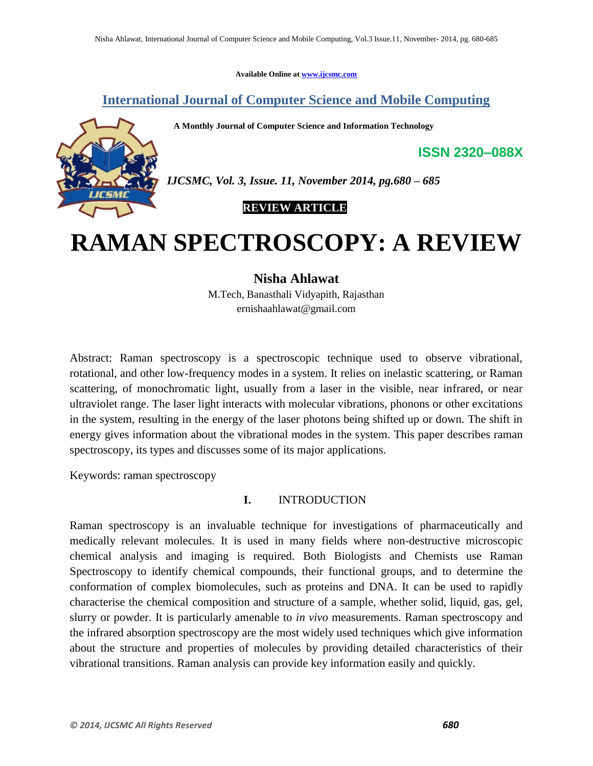**Available Online at www.ijcsmc.com**

# **International Journal of Computer Science and Mobile Computing**

 **A Monthly Journal of Computer Science and Information Technology**



*IJCSMC, Vol. 3, Issue. 11, November 2014, pg.680 – 685*

 **REVIEW ARTICLE**

# **RAMAN SPECTROSCOPY: A REVIEW**

**Nisha Ahlawat**

M.Tech, Banasthali Vidyapith, Rajasthan ernishaahlawat@gmail.com

Abstract: Raman spectroscopy is a spectroscopic technique used to observe vibrational, rotational, and other low-frequency modes in a system. It relies on inelastic scattering, or Raman scattering, of monochromatic light, usually from a laser in the visible, near infrared, or near ultraviolet range. The laser light interacts with molecular vibrations, phonons or other excitations in the system, resulting in the energy of the laser photons being shifted up or down. The shift in energy gives information about the vibrational modes in the system. This paper describes raman spectroscopy, its types and discusses some of its major applications.

Keywords: raman spectroscopy

## **I.** INTRODUCTION

Raman spectroscopy is an invaluable technique for investigations of pharmaceutically and medically relevant molecules. It is used in many fields where non-destructive microscopic chemical analysis and imaging is required. Both Biologists and Chemists use Raman Spectroscopy to identify chemical compounds, their functional groups, and to determine the conformation of complex biomolecules, such as proteins and DNA. It can be used to rapidly characterise the chemical composition and structure of a sample, whether solid, liquid, gas, gel, slurry or powder. It is particularly amenable to *in vivo* measurements. Raman spectroscopy and the infrared absorption spectroscopy are the most widely used techniques which give information about the structure and properties of molecules by providing detailed characteristics of their vibrational transitions. Raman analysis can provide key information easily and quickly.

**ISSN 2320–088X**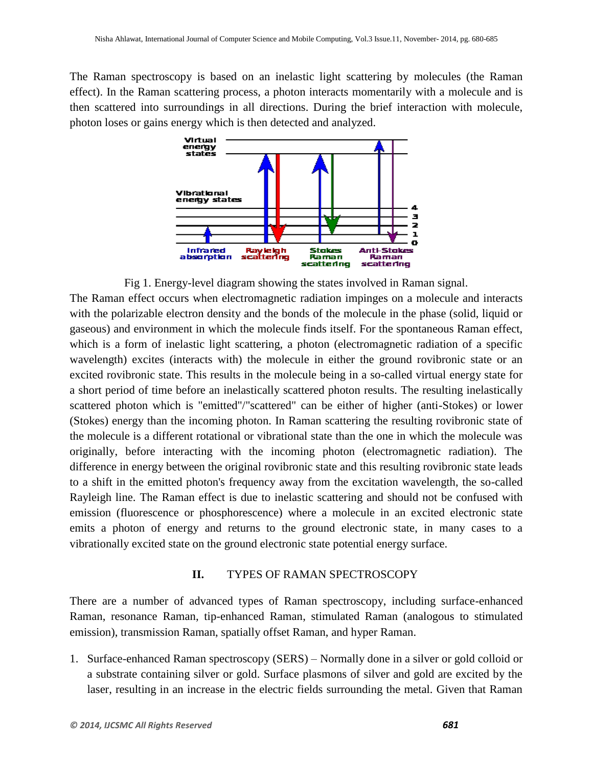The Raman spectroscopy is based on an inelastic light scattering by molecules (the Raman effect). In the Raman scattering process, a photon interacts momentarily with a molecule and is then scattered into surroundings in all directions. During the brief interaction with molecule, photon loses or gains energy which is then detected and analyzed.



Fig 1. Energy-level diagram showing the states involved in Raman signal.

The Raman effect occurs when electromagnetic radiation impinges on a molecule and interacts with the polarizable electron density and the bonds of the molecule in the phase (solid, liquid or gaseous) and environment in which the molecule finds itself. For the spontaneous Raman effect, which is a form of inelastic light scattering, a photon (electromagnetic radiation of a specific wavelength) excites (interacts with) the molecule in either the ground rovibronic state or an excited rovibronic state. This results in the molecule being in a so-called virtual energy state for a short period of time before an inelastically scattered photon results. The resulting inelastically scattered photon which is "emitted"/"scattered" can be either of higher (anti-Stokes) or lower (Stokes) energy than the incoming photon. In Raman scattering the resulting rovibronic state of the molecule is a different rotational or vibrational state than the one in which the molecule was originally, before interacting with the incoming photon (electromagnetic radiation). The difference in energy between the original rovibronic state and this resulting rovibronic state leads to a shift in the emitted photon's frequency away from the excitation wavelength, the so-called Rayleigh line. The Raman effect is due to inelastic scattering and should not be confused with emission (fluorescence or phosphorescence) where a molecule in an excited electronic state emits a photon of energy and returns to the ground electronic state, in many cases to a vibrationally excited state on the ground electronic state potential energy surface.

#### **II.** TYPES OF RAMAN SPECTROSCOPY

There are a number of advanced types of Raman spectroscopy, including surface-enhanced Raman, resonance Raman, tip-enhanced Raman, stimulated Raman (analogous to stimulated emission), transmission Raman, spatially offset Raman, and hyper Raman.

1. Surface-enhanced Raman spectroscopy (SERS) – Normally done in a silver or gold colloid or a substrate containing silver or gold. Surface plasmons of silver and gold are excited by the laser, resulting in an increase in the electric fields surrounding the metal. Given that Raman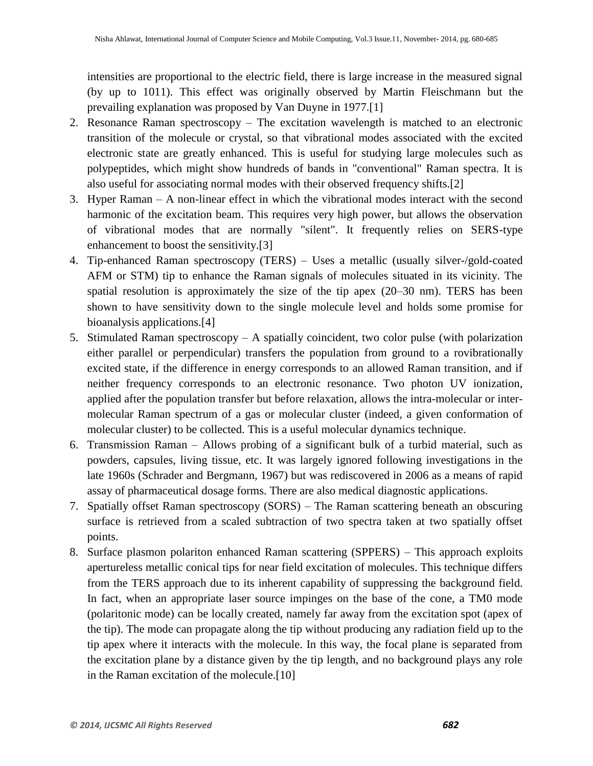intensities are proportional to the electric field, there is large increase in the measured signal (by up to 1011). This effect was originally observed by Martin Fleischmann but the prevailing explanation was proposed by Van Duyne in 1977.[1]

- 2. Resonance Raman spectroscopy The excitation wavelength is matched to an electronic transition of the molecule or crystal, so that vibrational modes associated with the excited electronic state are greatly enhanced. This is useful for studying large molecules such as polypeptides, which might show hundreds of bands in "conventional" Raman spectra. It is also useful for associating normal modes with their observed frequency shifts.[2]
- 3. Hyper Raman A non-linear effect in which the vibrational modes interact with the second harmonic of the excitation beam. This requires very high power, but allows the observation of vibrational modes that are normally "silent". It frequently relies on SERS-type enhancement to boost the sensitivity.[3]
- 4. Tip-enhanced Raman spectroscopy (TERS) Uses a metallic (usually silver-/gold-coated AFM or STM) tip to enhance the Raman signals of molecules situated in its vicinity. The spatial resolution is approximately the size of the tip apex (20–30 nm). TERS has been shown to have sensitivity down to the single molecule level and holds some promise for bioanalysis applications.[4]
- 5. Stimulated Raman spectroscopy A spatially coincident, two color pulse (with polarization either parallel or perpendicular) transfers the population from ground to a rovibrationally excited state, if the difference in energy corresponds to an allowed Raman transition, and if neither frequency corresponds to an electronic resonance. Two photon UV ionization, applied after the population transfer but before relaxation, allows the intra-molecular or intermolecular Raman spectrum of a gas or molecular cluster (indeed, a given conformation of molecular cluster) to be collected. This is a useful molecular dynamics technique.
- 6. Transmission Raman Allows probing of a significant bulk of a turbid material, such as powders, capsules, living tissue, etc. It was largely ignored following investigations in the late 1960s (Schrader and Bergmann, 1967) but was rediscovered in 2006 as a means of rapid assay of pharmaceutical dosage forms. There are also medical diagnostic applications.
- 7. Spatially offset Raman spectroscopy (SORS) The Raman scattering beneath an obscuring surface is retrieved from a scaled subtraction of two spectra taken at two spatially offset points.
- 8. Surface plasmon polariton enhanced Raman scattering (SPPERS) This approach exploits apertureless metallic conical tips for near field excitation of molecules. This technique differs from the TERS approach due to its inherent capability of suppressing the background field. In fact, when an appropriate laser source impinges on the base of the cone, a TM0 mode (polaritonic mode) can be locally created, namely far away from the excitation spot (apex of the tip). The mode can propagate along the tip without producing any radiation field up to the tip apex where it interacts with the molecule. In this way, the focal plane is separated from the excitation plane by a distance given by the tip length, and no background plays any role in the Raman excitation of the molecule.[10]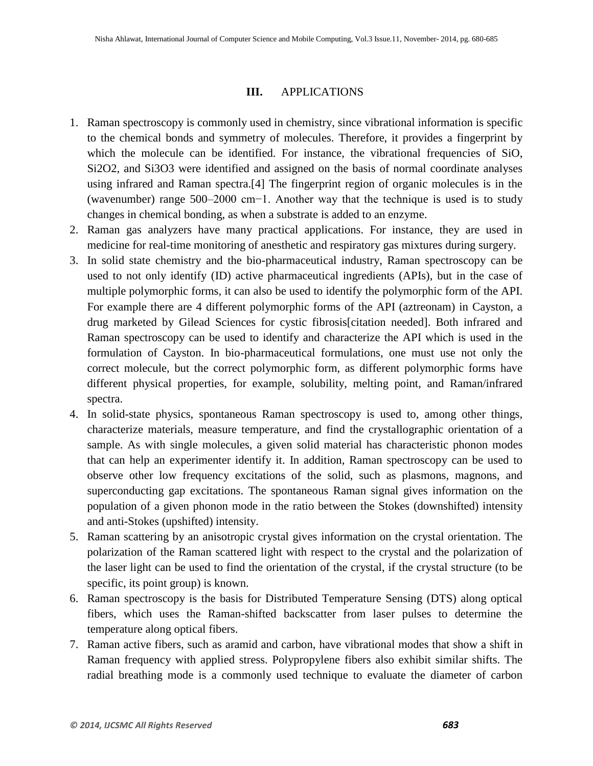#### **III.** APPLICATIONS

- 1. Raman spectroscopy is commonly used in chemistry, since vibrational information is specific to the chemical bonds and symmetry of molecules. Therefore, it provides a fingerprint by which the molecule can be identified. For instance, the vibrational frequencies of SiO, Si2O2, and Si3O3 were identified and assigned on the basis of normal coordinate analyses using infrared and Raman spectra.[4] The fingerprint region of organic molecules is in the (wavenumber) range 500–2000 cm−1. Another way that the technique is used is to study changes in chemical bonding, as when a substrate is added to an enzyme.
- 2. Raman gas analyzers have many practical applications. For instance, they are used in medicine for real-time monitoring of anesthetic and respiratory gas mixtures during surgery.
- 3. In solid state chemistry and the bio-pharmaceutical industry, Raman spectroscopy can be used to not only identify (ID) active pharmaceutical ingredients (APIs), but in the case of multiple polymorphic forms, it can also be used to identify the polymorphic form of the API. For example there are 4 different polymorphic forms of the API (aztreonam) in Cayston, a drug marketed by Gilead Sciences for cystic fibrosis[citation needed]. Both infrared and Raman spectroscopy can be used to identify and characterize the API which is used in the formulation of Cayston. In bio-pharmaceutical formulations, one must use not only the correct molecule, but the correct polymorphic form, as different polymorphic forms have different physical properties, for example, solubility, melting point, and Raman/infrared spectra.
- 4. In solid-state physics, spontaneous Raman spectroscopy is used to, among other things, characterize materials, measure temperature, and find the crystallographic orientation of a sample. As with single molecules, a given solid material has characteristic phonon modes that can help an experimenter identify it. In addition, Raman spectroscopy can be used to observe other low frequency excitations of the solid, such as plasmons, magnons, and superconducting gap excitations. The spontaneous Raman signal gives information on the population of a given phonon mode in the ratio between the Stokes (downshifted) intensity and anti-Stokes (upshifted) intensity.
- 5. Raman scattering by an anisotropic crystal gives information on the crystal orientation. The polarization of the Raman scattered light with respect to the crystal and the polarization of the laser light can be used to find the orientation of the crystal, if the crystal structure (to be specific, its point group) is known.
- 6. Raman spectroscopy is the basis for Distributed Temperature Sensing (DTS) along optical fibers, which uses the Raman-shifted backscatter from laser pulses to determine the temperature along optical fibers.
- 7. Raman active fibers, such as aramid and carbon, have vibrational modes that show a shift in Raman frequency with applied stress. Polypropylene fibers also exhibit similar shifts. The radial breathing mode is a commonly used technique to evaluate the diameter of carbon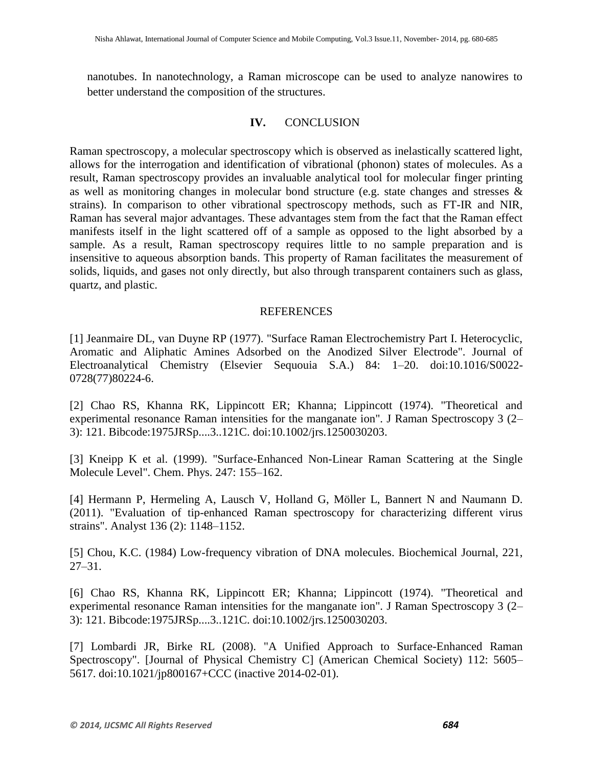nanotubes. In nanotechnology, a Raman microscope can be used to analyze nanowires to better understand the composition of the structures.

### **IV.** CONCLUSION

Raman spectroscopy, a molecular spectroscopy which is observed as inelastically scattered light, allows for the interrogation and identification of vibrational (phonon) states of molecules. As a result, Raman spectroscopy provides an invaluable analytical tool for molecular finger printing as well as monitoring changes in molecular bond structure (e.g. state changes and stresses & strains). In comparison to other vibrational spectroscopy methods, such as FT-IR and NIR, Raman has several major advantages. These advantages stem from the fact that the Raman effect manifests itself in the light scattered off of a sample as opposed to the light absorbed by a sample. As a result, Raman spectroscopy requires little to no sample preparation and is insensitive to aqueous absorption bands. This property of Raman facilitates the measurement of solids, liquids, and gases not only directly, but also through transparent containers such as glass, quartz, and plastic.

#### **REFERENCES**

[1] Jeanmaire DL, van Duyne RP (1977). "Surface Raman Electrochemistry Part I. Heterocyclic, Aromatic and Aliphatic Amines Adsorbed on the Anodized Silver Electrode". Journal of Electroanalytical Chemistry (Elsevier Sequouia S.A.) 84: 1–20. doi:10.1016/S0022- 0728(77)80224-6.

[2] Chao RS, Khanna RK, Lippincott ER; Khanna; Lippincott (1974). "Theoretical and experimental resonance Raman intensities for the manganate ion". J Raman Spectroscopy 3 (2– 3): 121. Bibcode:1975JRSp....3..121C. doi:10.1002/jrs.1250030203.

[3] Kneipp K et al. (1999). "Surface-Enhanced Non-Linear Raman Scattering at the Single Molecule Level". Chem. Phys. 247: 155–162.

[4] Hermann P, Hermeling A, Lausch V, Holland G, Möller L, Bannert N and Naumann D. (2011). "Evaluation of tip-enhanced Raman spectroscopy for characterizing different virus strains". Analyst 136 (2): 1148–1152.

[5] Chou, K.C. (1984) Low-frequency vibration of DNA molecules. Biochemical Journal, 221, 27–31.

[6] Chao RS, Khanna RK, Lippincott ER; Khanna; Lippincott (1974). "Theoretical and experimental resonance Raman intensities for the manganate ion". J Raman Spectroscopy 3 (2– 3): 121. Bibcode:1975JRSp....3..121C. doi:10.1002/jrs.1250030203.

[7] Lombardi JR, Birke RL (2008). "A Unified Approach to Surface-Enhanced Raman Spectroscopy". [Journal of Physical Chemistry C] (American Chemical Society) 112: 5605– 5617. doi:10.1021/jp800167+CCC (inactive 2014-02-01).